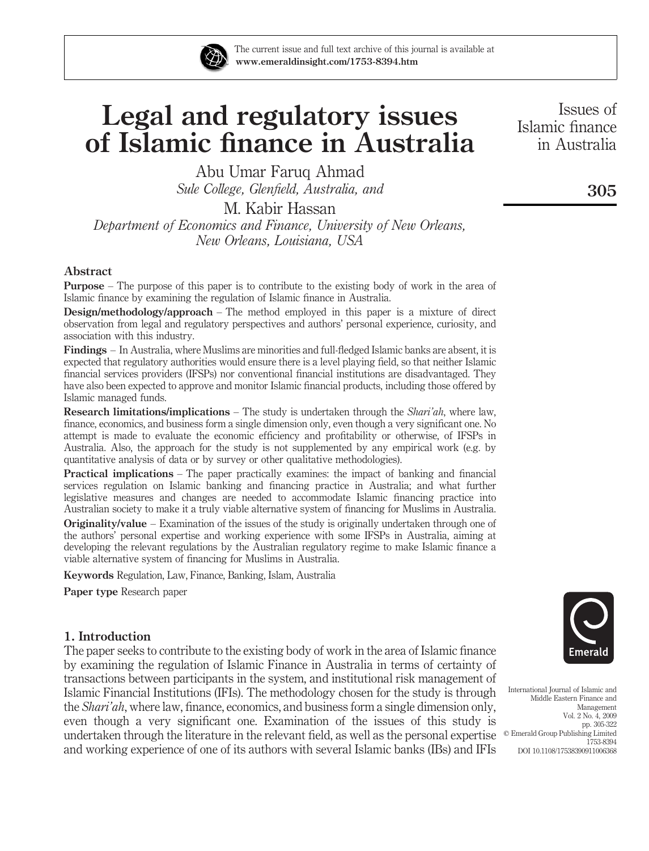

The current issue and full text archive of this journal is available at www.emeraldinsight.com/1753-8394.htm

# Legal and regulatory issues of Islamic finance in Australia

Abu Umar Faruq Ahmad Sule College, Glenfield, Australia, and

M. Kabir Hassan

Department of Economics and Finance, University of New Orleans, New Orleans, Louisiana, USA

#### Abstract

Purpose – The purpose of this paper is to contribute to the existing body of work in the area of Islamic finance by examining the regulation of Islamic finance in Australia.

Design/methodology/approach – The method employed in this paper is a mixture of direct observation from legal and regulatory perspectives and authors' personal experience, curiosity, and association with this industry.

Findings – In Australia, where Muslims are minorities and full-fledged Islamic banks are absent, it is expected that regulatory authorities would ensure there is a level playing field, so that neither Islamic financial services providers (IFSPs) nor conventional financial institutions are disadvantaged. They have also been expected to approve and monitor Islamic financial products, including those offered by Islamic managed funds.

Research limitations/implications – The study is undertaken through the Shari'ah, where law, finance, economics, and business form a single dimension only, even though a very significant one. No attempt is made to evaluate the economic efficiency and profitability or otherwise, of IFSPs in Australia. Also, the approach for the study is not supplemented by any empirical work (e.g. by quantitative analysis of data or by survey or other qualitative methodologies).

Practical implications – The paper practically examines: the impact of banking and financial services regulation on Islamic banking and financing practice in Australia; and what further legislative measures and changes are needed to accommodate Islamic financing practice into Australian society to make it a truly viable alternative system of financing for Muslims in Australia.

Originality/value – Examination of the issues of the study is originally undertaken through one of the authors' personal expertise and working experience with some IFSPs in Australia, aiming at developing the relevant regulations by the Australian regulatory regime to make Islamic finance a viable alternative system of financing for Muslims in Australia.

Keywords Regulation, Law, Finance, Banking, Islam, Australia

Paper type Research paper

## 1. Introduction

The paper seeks to contribute to the existing body of work in the area of Islamic finance by examining the regulation of Islamic Finance in Australia in terms of certainty of transactions between participants in the system, and institutional risk management of Islamic Financial Institutions (IFIs). The methodology chosen for the study is through the Shari'ah, where law, finance, economics, and business form a single dimension only, even though a very significant one. Examination of the issues of this study is undertaken through the literature in the relevant field, as well as the personal expertise and working experience of one of its authors with several Islamic banks (IBs) and IFIs



International Journal of Islamic and Middle Eastern Finance and Management Vol. 2 No. 4, 2009 pp. 305-322  $©$  Emerald Group Publishing Limited 1753-8394 DOI 10.1108/17538390911006368

Issues of Islamic finance in Australia

305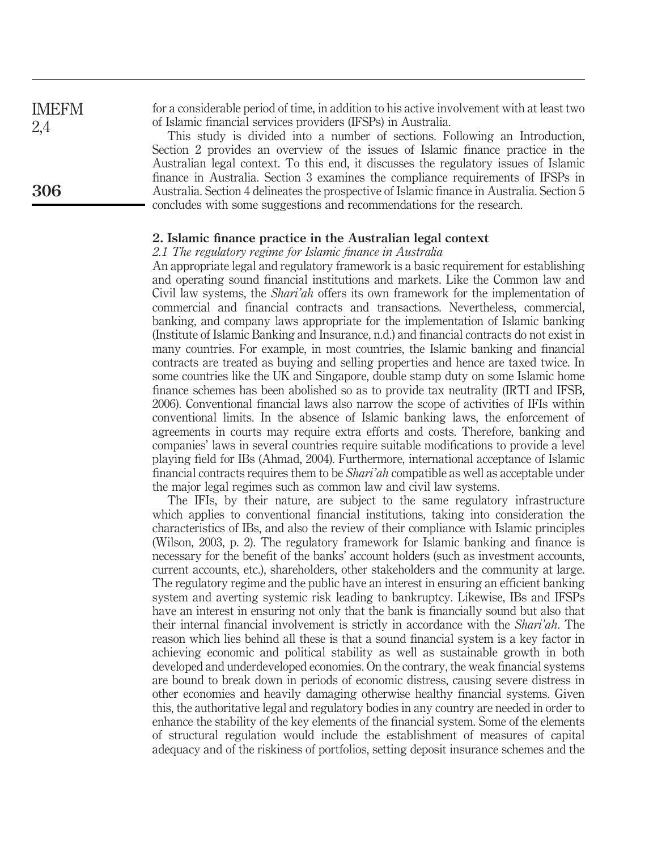| <b>IMEFM</b><br>2,4 | for a considerable period of time, in addition to his active involvement with at least two<br>of Islamic financial services providers (IFSPs) in Australia.                                                                                             |
|---------------------|---------------------------------------------------------------------------------------------------------------------------------------------------------------------------------------------------------------------------------------------------------|
|                     | This study is divided into a number of sections. Following an Introduction,<br>Section 2 provides an overview of the issues of Islamic finance practice in the                                                                                          |
|                     | Australian legal context. To this end, it discusses the regulatory issues of Islamic                                                                                                                                                                    |
| 306                 | finance in Australia. Section 3 examines the compliance requirements of IFSPs in<br>Australia. Section 4 delineates the prospective of Islamic finance in Australia. Section 5<br>concludes with some suggestions and recommendations for the research. |

#### 2. Islamic finance practice in the Australian legal context

#### 2.1 The regulatory regime for Islamic finance in Australia

An appropriate legal and regulatory framework is a basic requirement for establishing and operating sound financial institutions and markets. Like the Common law and Civil law systems, the *Shari'ah* offers its own framework for the implementation of commercial and financial contracts and transactions. Nevertheless, commercial, banking, and company laws appropriate for the implementation of Islamic banking (Institute of Islamic Banking and Insurance, n.d.) and financial contracts do not exist in many countries. For example, in most countries, the Islamic banking and financial contracts are treated as buying and selling properties and hence are taxed twice. In some countries like the UK and Singapore, double stamp duty on some Islamic home finance schemes has been abolished so as to provide tax neutrality (IRTI and IFSB, 2006). Conventional financial laws also narrow the scope of activities of IFIs within conventional limits. In the absence of Islamic banking laws, the enforcement of agreements in courts may require extra efforts and costs. Therefore, banking and companies' laws in several countries require suitable modifications to provide a level playing field for IBs (Ahmad, 2004). Furthermore, international acceptance of Islamic financial contracts requires them to be Shari'ah compatible as well as acceptable under the major legal regimes such as common law and civil law systems.

The IFIs, by their nature, are subject to the same regulatory infrastructure which applies to conventional financial institutions, taking into consideration the characteristics of IBs, and also the review of their compliance with Islamic principles (Wilson, 2003, p. 2). The regulatory framework for Islamic banking and finance is necessary for the benefit of the banks' account holders (such as investment accounts, current accounts, etc.), shareholders, other stakeholders and the community at large. The regulatory regime and the public have an interest in ensuring an efficient banking system and averting systemic risk leading to bankruptcy. Likewise, IBs and IFSPs have an interest in ensuring not only that the bank is financially sound but also that their internal financial involvement is strictly in accordance with the Shari'ah. The reason which lies behind all these is that a sound financial system is a key factor in achieving economic and political stability as well as sustainable growth in both developed and underdeveloped economies. On the contrary, the weak financial systems are bound to break down in periods of economic distress, causing severe distress in other economies and heavily damaging otherwise healthy financial systems. Given this, the authoritative legal and regulatory bodies in any country are needed in order to enhance the stability of the key elements of the financial system. Some of the elements of structural regulation would include the establishment of measures of capital adequacy and of the riskiness of portfolios, setting deposit insurance schemes and the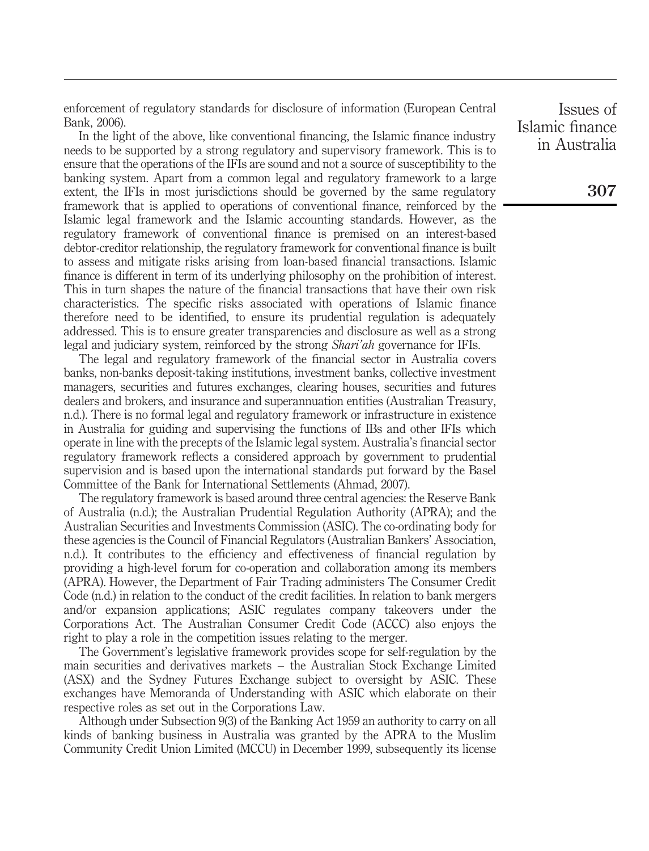enforcement of regulatory standards for disclosure of information (European Central Bank, 2006).

In the light of the above, like conventional financing, the Islamic finance industry needs to be supported by a strong regulatory and supervisory framework. This is to ensure that the operations of the IFIs are sound and not a source of susceptibility to the banking system. Apart from a common legal and regulatory framework to a large extent, the IFIs in most jurisdictions should be governed by the same regulatory framework that is applied to operations of conventional finance, reinforced by the Islamic legal framework and the Islamic accounting standards. However, as the regulatory framework of conventional finance is premised on an interest-based debtor-creditor relationship, the regulatory framework for conventional finance is built to assess and mitigate risks arising from loan-based financial transactions. Islamic finance is different in term of its underlying philosophy on the prohibition of interest. This in turn shapes the nature of the financial transactions that have their own risk characteristics. The specific risks associated with operations of Islamic finance therefore need to be identified, to ensure its prudential regulation is adequately addressed. This is to ensure greater transparencies and disclosure as well as a strong legal and judiciary system, reinforced by the strong Shari'ah governance for IFIs.

The legal and regulatory framework of the financial sector in Australia covers banks, non-banks deposit-taking institutions, investment banks, collective investment managers, securities and futures exchanges, clearing houses, securities and futures dealers and brokers, and insurance and superannuation entities (Australian Treasury, n.d.). There is no formal legal and regulatory framework or infrastructure in existence in Australia for guiding and supervising the functions of IBs and other IFIs which operate in line with the precepts of the Islamic legal system. Australia's financial sector regulatory framework reflects a considered approach by government to prudential supervision and is based upon the international standards put forward by the Basel Committee of the Bank for International Settlements (Ahmad, 2007).

The regulatory framework is based around three central agencies: the Reserve Bank of Australia (n.d.); the Australian Prudential Regulation Authority (APRA); and the Australian Securities and Investments Commission (ASIC). The co-ordinating body for these agencies is the Council of Financial Regulators (Australian Bankers' Association, n.d.). It contributes to the efficiency and effectiveness of financial regulation by providing a high-level forum for co-operation and collaboration among its members (APRA). However, the Department of Fair Trading administers The Consumer Credit Code (n.d.) in relation to the conduct of the credit facilities. In relation to bank mergers and/or expansion applications; ASIC regulates company takeovers under the Corporations Act. The Australian Consumer Credit Code (ACCC) also enjoys the right to play a role in the competition issues relating to the merger.

The Government's legislative framework provides scope for self-regulation by the main securities and derivatives markets – the Australian Stock Exchange Limited (ASX) and the Sydney Futures Exchange subject to oversight by ASIC. These exchanges have Memoranda of Understanding with ASIC which elaborate on their respective roles as set out in the Corporations Law.

Although under Subsection 9(3) of the Banking Act 1959 an authority to carry on all kinds of banking business in Australia was granted by the APRA to the Muslim Community Credit Union Limited (MCCU) in December 1999, subsequently its license

Issues of Islamic finance in Australia

307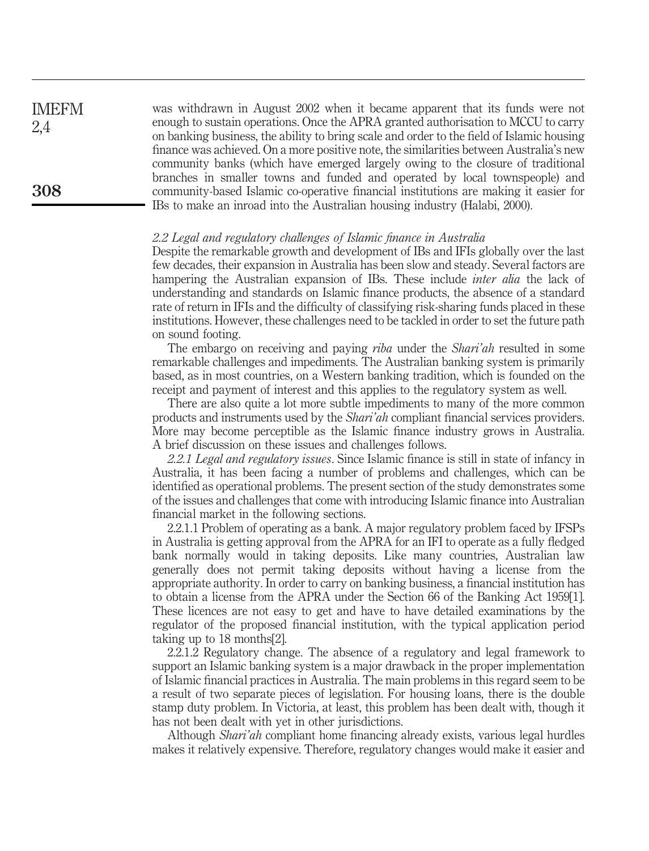was withdrawn in August 2002 when it became apparent that its funds were not enough to sustain operations. Once the APRA granted authorisation to MCCU to carry on banking business, the ability to bring scale and order to the field of Islamic housing finance was achieved. On a more positive note, the similarities between Australia's new community banks (which have emerged largely owing to the closure of traditional branches in smaller towns and funded and operated by local townspeople) and community-based Islamic co-operative financial institutions are making it easier for IBs to make an inroad into the Australian housing industry (Halabi, 2000).

#### 2.2 Legal and regulatory challenges of Islamic finance in Australia

Despite the remarkable growth and development of IBs and IFIs globally over the last few decades, their expansion in Australia has been slow and steady. Several factors are hampering the Australian expansion of IBs. These include *inter alia* the lack of understanding and standards on Islamic finance products, the absence of a standard rate of return in IFIs and the difficulty of classifying risk-sharing funds placed in these institutions. However, these challenges need to be tackled in order to set the future path on sound footing.

The embargo on receiving and paying *riba* under the *Shari'ah* resulted in some remarkable challenges and impediments. The Australian banking system is primarily based, as in most countries, on a Western banking tradition, which is founded on the receipt and payment of interest and this applies to the regulatory system as well.

There are also quite a lot more subtle impediments to many of the more common products and instruments used by the Shari'ah compliant financial services providers. More may become perceptible as the Islamic finance industry grows in Australia. A brief discussion on these issues and challenges follows.

2.2.1 Legal and regulatory issues. Since Islamic finance is still in state of infancy in Australia, it has been facing a number of problems and challenges, which can be identified as operational problems. The present section of the study demonstrates some of the issues and challenges that come with introducing Islamic finance into Australian financial market in the following sections.

2.2.1.1 Problem of operating as a bank. A major regulatory problem faced by IFSPs in Australia is getting approval from the APRA for an IFI to operate as a fully fledged bank normally would in taking deposits. Like many countries, Australian law generally does not permit taking deposits without having a license from the appropriate authority. In order to carry on banking business, a financial institution has to obtain a license from the APRA under the Section 66 of the Banking Act 1959[1]. These licences are not easy to get and have to have detailed examinations by the regulator of the proposed financial institution, with the typical application period taking up to 18 months[2].

2.2.1.2 Regulatory change. The absence of a regulatory and legal framework to support an Islamic banking system is a major drawback in the proper implementation of Islamic financial practices in Australia. The main problems in this regard seem to be a result of two separate pieces of legislation. For housing loans, there is the double stamp duty problem. In Victoria, at least, this problem has been dealt with, though it has not been dealt with yet in other jurisdictions.

Although Shari'ah compliant home financing already exists, various legal hurdles makes it relatively expensive. Therefore, regulatory changes would make it easier and

IMEFM 2,4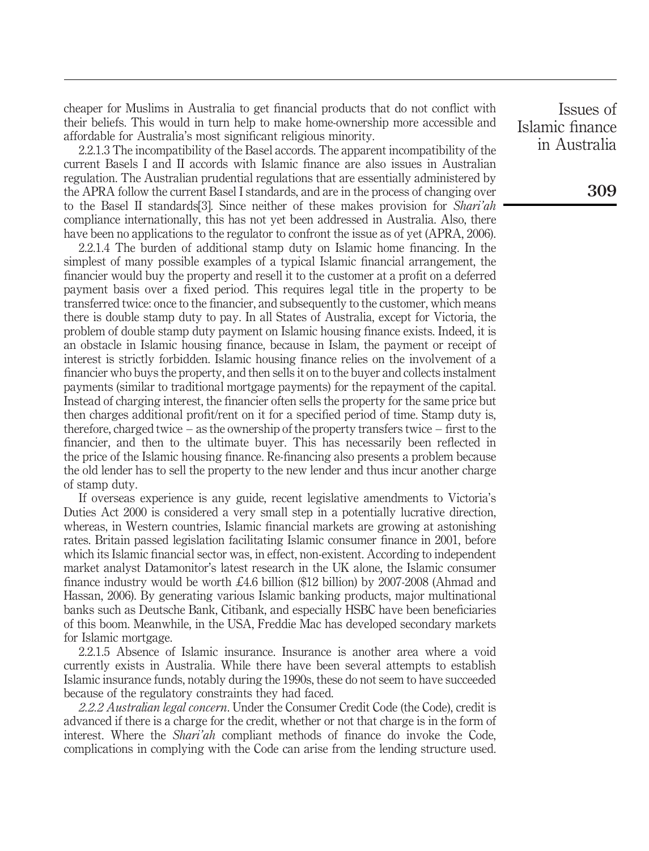cheaper for Muslims in Australia to get financial products that do not conflict with their beliefs. This would in turn help to make home-ownership more accessible and affordable for Australia's most significant religious minority.

2.2.1.3 The incompatibility of the Basel accords. The apparent incompatibility of the current Basels I and II accords with Islamic finance are also issues in Australian regulation. The Australian prudential regulations that are essentially administered by the APRA follow the current Basel I standards, and are in the process of changing over to the Basel II standards[3]. Since neither of these makes provision for Shari'ah compliance internationally, this has not yet been addressed in Australia. Also, there have been no applications to the regulator to confront the issue as of yet (APRA, 2006).

2.2.1.4 The burden of additional stamp duty on Islamic home financing. In the simplest of many possible examples of a typical Islamic financial arrangement, the financier would buy the property and resell it to the customer at a profit on a deferred payment basis over a fixed period. This requires legal title in the property to be transferred twice: once to the financier, and subsequently to the customer, which means there is double stamp duty to pay. In all States of Australia, except for Victoria, the problem of double stamp duty payment on Islamic housing finance exists. Indeed, it is an obstacle in Islamic housing finance, because in Islam, the payment or receipt of interest is strictly forbidden. Islamic housing finance relies on the involvement of a financier who buys the property, and then sells it on to the buyer and collects instalment payments (similar to traditional mortgage payments) for the repayment of the capital. Instead of charging interest, the financier often sells the property for the same price but then charges additional profit/rent on it for a specified period of time. Stamp duty is, therefore, charged twice – as the ownership of the property transfers twice – first to the financier, and then to the ultimate buyer. This has necessarily been reflected in the price of the Islamic housing finance. Re-financing also presents a problem because the old lender has to sell the property to the new lender and thus incur another charge of stamp duty.

If overseas experience is any guide, recent legislative amendments to Victoria's Duties Act 2000 is considered a very small step in a potentially lucrative direction, whereas, in Western countries, Islamic financial markets are growing at astonishing rates. Britain passed legislation facilitating Islamic consumer finance in 2001, before which its Islamic financial sector was, in effect, non-existent. According to independent market analyst Datamonitor's latest research in the UK alone, the Islamic consumer finance industry would be worth £4.6 billion (\$12 billion) by 2007-2008 (Ahmad and Hassan, 2006). By generating various Islamic banking products, major multinational banks such as Deutsche Bank, Citibank, and especially HSBC have been beneficiaries of this boom. Meanwhile, in the USA, Freddie Mac has developed secondary markets for Islamic mortgage.

2.2.1.5 Absence of Islamic insurance. Insurance is another area where a void currently exists in Australia. While there have been several attempts to establish Islamic insurance funds, notably during the 1990s, these do not seem to have succeeded because of the regulatory constraints they had faced.

2.2.2 Australian legal concern. Under the Consumer Credit Code (the Code), credit is advanced if there is a charge for the credit, whether or not that charge is in the form of interest. Where the *Shari'ah* compliant methods of finance do invoke the Code, complications in complying with the Code can arise from the lending structure used.

Issues of Islamic finance in Australia

309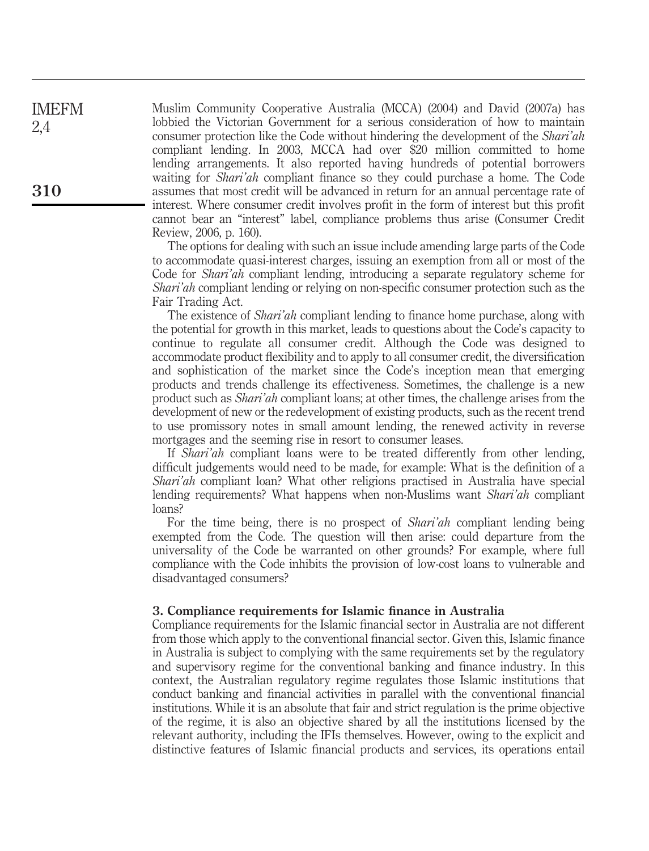Muslim Community Cooperative Australia (MCCA) (2004) and David (2007a) has lobbied the Victorian Government for a serious consideration of how to maintain consumer protection like the Code without hindering the development of the Shari'ah compliant lending. In 2003, MCCA had over \$20 million committed to home lending arrangements. It also reported having hundreds of potential borrowers waiting for *Shari'ah* compliant finance so they could purchase a home. The Code assumes that most credit will be advanced in return for an annual percentage rate of interest. Where consumer credit involves profit in the form of interest but this profit cannot bear an "interest" label, compliance problems thus arise (Consumer Credit Review, 2006, p. 160).

The options for dealing with such an issue include amending large parts of the Code to accommodate quasi-interest charges, issuing an exemption from all or most of the Code for Shari'ah compliant lending, introducing a separate regulatory scheme for Shari'ah compliant lending or relying on non-specific consumer protection such as the Fair Trading Act.

The existence of *Shari'ah* compliant lending to finance home purchase, along with the potential for growth in this market, leads to questions about the Code's capacity to continue to regulate all consumer credit. Although the Code was designed to accommodate product flexibility and to apply to all consumer credit, the diversification and sophistication of the market since the Code's inception mean that emerging products and trends challenge its effectiveness. Sometimes, the challenge is a new product such as Shari'ah compliant loans; at other times, the challenge arises from the development of new or the redevelopment of existing products, such as the recent trend to use promissory notes in small amount lending, the renewed activity in reverse mortgages and the seeming rise in resort to consumer leases.

If Shari'ah compliant loans were to be treated differently from other lending, difficult judgements would need to be made, for example: What is the definition of a Shari'ah compliant loan? What other religions practised in Australia have special lending requirements? What happens when non-Muslims want *Shari'ah* compliant loans?

For the time being, there is no prospect of *Shari'ah* compliant lending being exempted from the Code. The question will then arise: could departure from the universality of the Code be warranted on other grounds? For example, where full compliance with the Code inhibits the provision of low-cost loans to vulnerable and disadvantaged consumers?

#### 3. Compliance requirements for Islamic finance in Australia

Compliance requirements for the Islamic financial sector in Australia are not different from those which apply to the conventional financial sector. Given this, Islamic finance in Australia is subject to complying with the same requirements set by the regulatory and supervisory regime for the conventional banking and finance industry. In this context, the Australian regulatory regime regulates those Islamic institutions that conduct banking and financial activities in parallel with the conventional financial institutions. While it is an absolute that fair and strict regulation is the prime objective of the regime, it is also an objective shared by all the institutions licensed by the relevant authority, including the IFIs themselves. However, owing to the explicit and distinctive features of Islamic financial products and services, its operations entail

IMEFM 2,4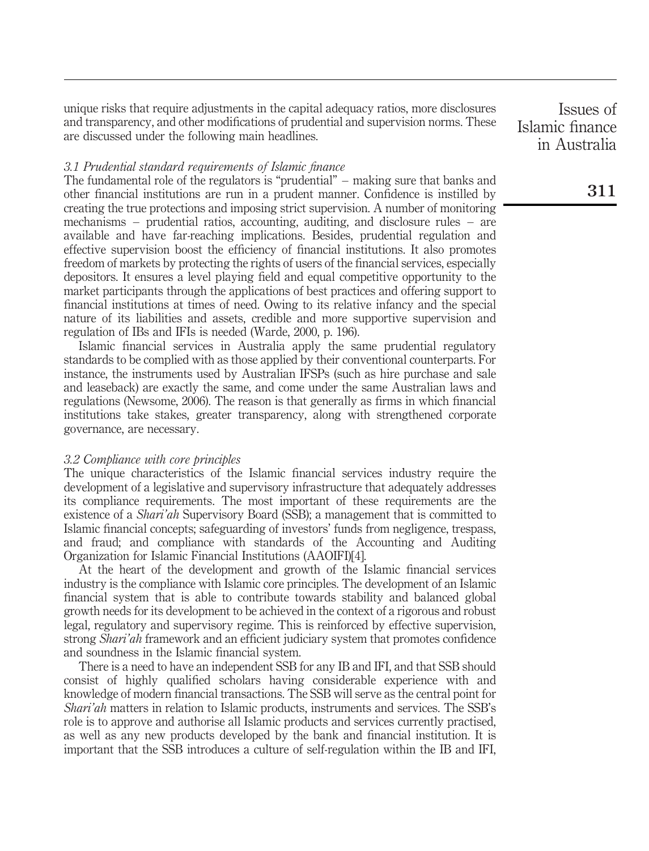unique risks that require adjustments in the capital adequacy ratios, more disclosures and transparency, and other modifications of prudential and supervision norms. These are discussed under the following main headlines.

#### 3.1 Prudential standard requirements of Islamic finance

The fundamental role of the regulators is "prudential" – making sure that banks and other financial institutions are run in a prudent manner. Confidence is instilled by creating the true protections and imposing strict supervision. A number of monitoring mechanisms – prudential ratios, accounting, auditing, and disclosure rules – are available and have far-reaching implications. Besides, prudential regulation and effective supervision boost the efficiency of financial institutions. It also promotes freedom of markets by protecting the rights of users of the financial services, especially depositors. It ensures a level playing field and equal competitive opportunity to the market participants through the applications of best practices and offering support to financial institutions at times of need. Owing to its relative infancy and the special nature of its liabilities and assets, credible and more supportive supervision and regulation of IBs and IFIs is needed (Warde, 2000, p. 196).

Islamic financial services in Australia apply the same prudential regulatory standards to be complied with as those applied by their conventional counterparts. For instance, the instruments used by Australian IFSPs (such as hire purchase and sale and leaseback) are exactly the same, and come under the same Australian laws and regulations (Newsome, 2006). The reason is that generally as firms in which financial institutions take stakes, greater transparency, along with strengthened corporate governance, are necessary.

#### 3.2 Compliance with core principles

The unique characteristics of the Islamic financial services industry require the development of a legislative and supervisory infrastructure that adequately addresses its compliance requirements. The most important of these requirements are the existence of a *Shari'ah* Supervisory Board (SSB); a management that is committed to Islamic financial concepts; safeguarding of investors' funds from negligence, trespass, and fraud; and compliance with standards of the Accounting and Auditing Organization for Islamic Financial Institutions (AAOIFI)[4].

At the heart of the development and growth of the Islamic financial services industry is the compliance with Islamic core principles. The development of an Islamic financial system that is able to contribute towards stability and balanced global growth needs for its development to be achieved in the context of a rigorous and robust legal, regulatory and supervisory regime. This is reinforced by effective supervision, strong Shari'ah framework and an efficient judiciary system that promotes confidence and soundness in the Islamic financial system.

There is a need to have an independent SSB for any IB and IFI, and that SSB should consist of highly qualified scholars having considerable experience with and knowledge of modern financial transactions. The SSB will serve as the central point for Shari'ah matters in relation to Islamic products, instruments and services. The SSB's role is to approve and authorise all Islamic products and services currently practised, as well as any new products developed by the bank and financial institution. It is important that the SSB introduces a culture of self-regulation within the IB and IFI,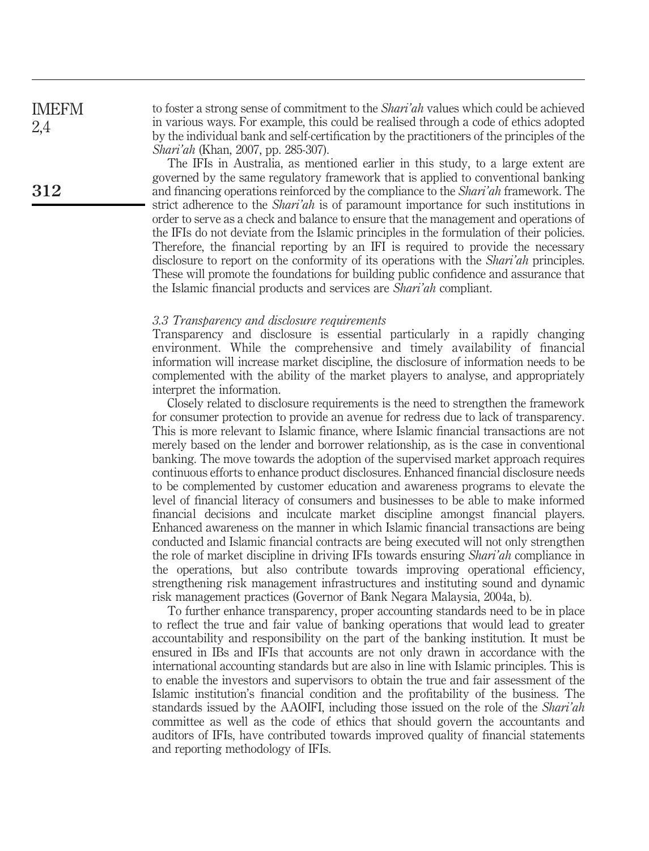| <b>IMEFM</b><br>2,4 | to foster a strong sense of commitment to the <i>Shari'ah</i> values which could be achieved<br>in various ways. For example, this could be realised through a code of ethics adopted<br>by the individual bank and self-certification by the practitioners of the principles of the |
|---------------------|--------------------------------------------------------------------------------------------------------------------------------------------------------------------------------------------------------------------------------------------------------------------------------------|
|                     | <i>Shari'ah</i> (Khan, 2007, pp. 285-307).                                                                                                                                                                                                                                           |
|                     | The IFIs in Australia, as mentioned earlier in this study, to a large extent are                                                                                                                                                                                                     |
|                     | governed by the same regulatory framework that is applied to conventional banking                                                                                                                                                                                                    |
| 312                 | and financing operations reinforced by the compliance to the <i>Shari'ah</i> framework. The                                                                                                                                                                                          |
|                     | strict adherence to the <i>Shari'ah</i> is of paramount importance for such institutions in                                                                                                                                                                                          |
|                     | order to serve as a check and balance to ensure that the management and operations of                                                                                                                                                                                                |
|                     | the IFIs do not deviate from the Islamic principles in the formulation of their policies                                                                                                                                                                                             |

the IFIs do not deviate from the Islamic principles in the formulation of their policies. Therefore, the financial reporting by an IFI is required to provide the necessary disclosure to report on the conformity of its operations with the *Shari'ah* principles. These will promote the foundations for building public confidence and assurance that the Islamic financial products and services are Shari'ah compliant.

#### 3.3 Transparency and disclosure requirements

Transparency and disclosure is essential particularly in a rapidly changing environment. While the comprehensive and timely availability of financial information will increase market discipline, the disclosure of information needs to be complemented with the ability of the market players to analyse, and appropriately interpret the information.

Closely related to disclosure requirements is the need to strengthen the framework for consumer protection to provide an avenue for redress due to lack of transparency. This is more relevant to Islamic finance, where Islamic financial transactions are not merely based on the lender and borrower relationship, as is the case in conventional banking. The move towards the adoption of the supervised market approach requires continuous efforts to enhance product disclosures. Enhanced financial disclosure needs to be complemented by customer education and awareness programs to elevate the level of financial literacy of consumers and businesses to be able to make informed financial decisions and inculcate market discipline amongst financial players. Enhanced awareness on the manner in which Islamic financial transactions are being conducted and Islamic financial contracts are being executed will not only strengthen the role of market discipline in driving IFIs towards ensuring Shari'ah compliance in the operations, but also contribute towards improving operational efficiency, strengthening risk management infrastructures and instituting sound and dynamic risk management practices (Governor of Bank Negara Malaysia, 2004a, b).

To further enhance transparency, proper accounting standards need to be in place to reflect the true and fair value of banking operations that would lead to greater accountability and responsibility on the part of the banking institution. It must be ensured in IBs and IFIs that accounts are not only drawn in accordance with the international accounting standards but are also in line with Islamic principles. This is to enable the investors and supervisors to obtain the true and fair assessment of the Islamic institution's financial condition and the profitability of the business. The standards issued by the AAOIFI, including those issued on the role of the Shari'ah committee as well as the code of ethics that should govern the accountants and auditors of IFIs, have contributed towards improved quality of financial statements and reporting methodology of IFIs.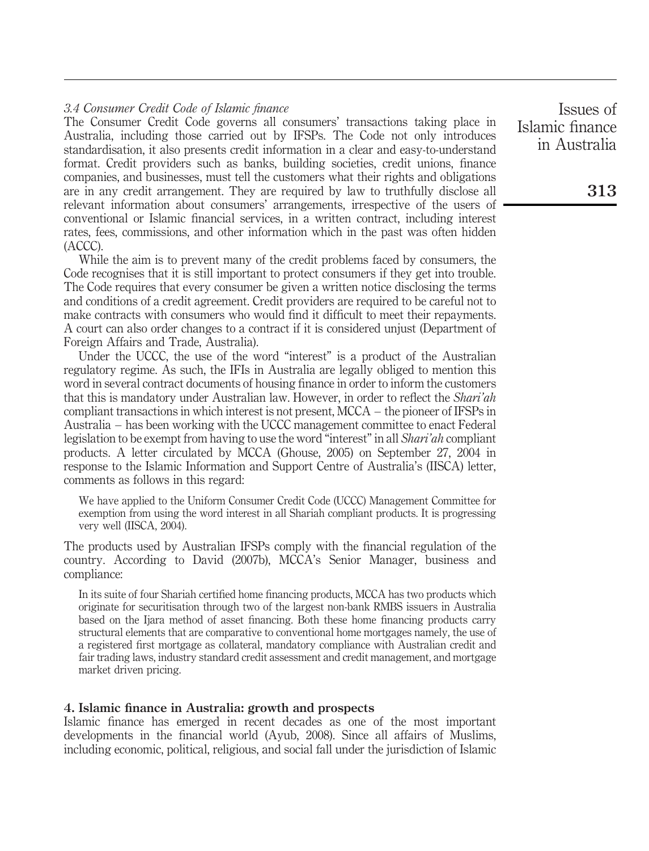## 3.4 Consumer Credit Code of Islamic finance

The Consumer Credit Code governs all consumers' transactions taking place in Australia, including those carried out by IFSPs. The Code not only introduces standardisation, it also presents credit information in a clear and easy-to-understand format. Credit providers such as banks, building societies, credit unions, finance companies, and businesses, must tell the customers what their rights and obligations are in any credit arrangement. They are required by law to truthfully disclose all relevant information about consumers' arrangements, irrespective of the users of conventional or Islamic financial services, in a written contract, including interest rates, fees, commissions, and other information which in the past was often hidden (ACCC).

While the aim is to prevent many of the credit problems faced by consumers, the Code recognises that it is still important to protect consumers if they get into trouble. The Code requires that every consumer be given a written notice disclosing the terms and conditions of a credit agreement. Credit providers are required to be careful not to make contracts with consumers who would find it difficult to meet their repayments. A court can also order changes to a contract if it is considered unjust (Department of Foreign Affairs and Trade, Australia).

Under the UCCC, the use of the word "interest" is a product of the Australian regulatory regime. As such, the IFIs in Australia are legally obliged to mention this word in several contract documents of housing finance in order to inform the customers that this is mandatory under Australian law. However, in order to reflect the *Shari'ah* compliant transactions in which interest is not present, MCCA – the pioneer of IFSPs in Australia – has been working with the UCCC management committee to enact Federal legislation to be exempt from having to use the word "interest" in all Shari'ah compliant products. A letter circulated by MCCA (Ghouse, 2005) on September 27, 2004 in response to the Islamic Information and Support Centre of Australia's (IISCA) letter, comments as follows in this regard:

We have applied to the Uniform Consumer Credit Code (UCCC) Management Committee for exemption from using the word interest in all Shariah compliant products. It is progressing very well (IISCA, 2004).

The products used by Australian IFSPs comply with the financial regulation of the country. According to David (2007b), MCCA's Senior Manager, business and compliance:

In its suite of four Shariah certified home financing products, MCCA has two products which originate for securitisation through two of the largest non-bank RMBS issuers in Australia based on the Ijara method of asset financing. Both these home financing products carry structural elements that are comparative to conventional home mortgages namely, the use of a registered first mortgage as collateral, mandatory compliance with Australian credit and fair trading laws, industry standard credit assessment and credit management, and mortgage market driven pricing.

## 4. Islamic finance in Australia: growth and prospects

Islamic finance has emerged in recent decades as one of the most important developments in the financial world (Ayub, 2008). Since all affairs of Muslims, including economic, political, religious, and social fall under the jurisdiction of Islamic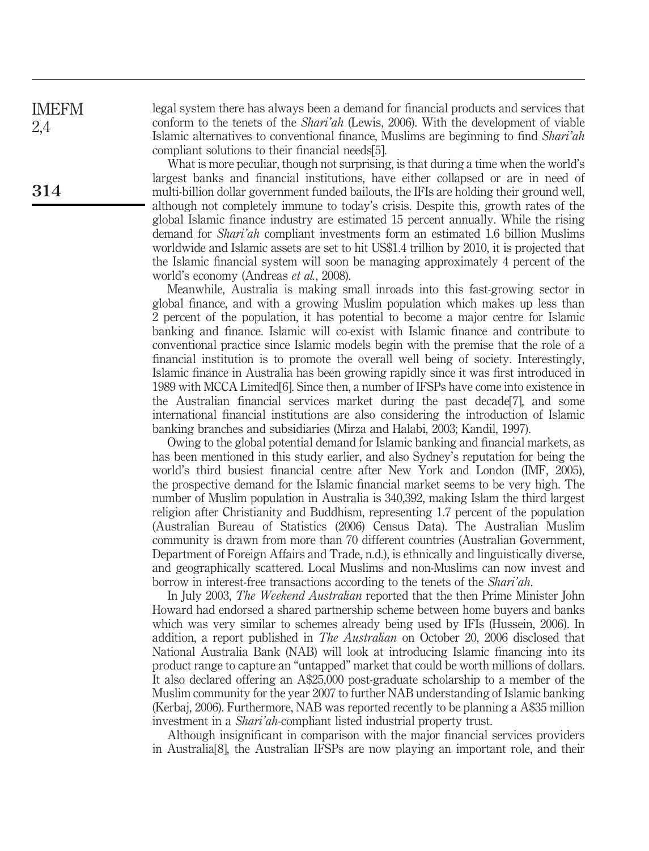legal system there has always been a demand for financial products and services that conform to the tenets of the Shari'ah (Lewis, 2006). With the development of viable Islamic alternatives to conventional finance, Muslims are beginning to find Shari'ah compliant solutions to their financial needs[5].

What is more peculiar, though not surprising, is that during a time when the world's largest banks and financial institutions, have either collapsed or are in need of multi-billion dollar government funded bailouts, the IFIs are holding their ground well, although not completely immune to today's crisis. Despite this, growth rates of the global Islamic finance industry are estimated 15 percent annually. While the rising demand for Shari'ah compliant investments form an estimated 1.6 billion Muslims worldwide and Islamic assets are set to hit US\$1.4 trillion by 2010, it is projected that the Islamic financial system will soon be managing approximately 4 percent of the world's economy (Andreas et al., 2008).

Meanwhile, Australia is making small inroads into this fast-growing sector in global finance, and with a growing Muslim population which makes up less than 2 percent of the population, it has potential to become a major centre for Islamic banking and finance. Islamic will co-exist with Islamic finance and contribute to conventional practice since Islamic models begin with the premise that the role of a financial institution is to promote the overall well being of society. Interestingly, Islamic finance in Australia has been growing rapidly since it was first introduced in 1989 with MCCA Limited[6]. Since then, a number of IFSPs have come into existence in the Australian financial services market during the past decade[7], and some international financial institutions are also considering the introduction of Islamic banking branches and subsidiaries (Mirza and Halabi, 2003; Kandil, 1997).

Owing to the global potential demand for Islamic banking and financial markets, as has been mentioned in this study earlier, and also Sydney's reputation for being the world's third busiest financial centre after New York and London (IMF, 2005), the prospective demand for the Islamic financial market seems to be very high. The number of Muslim population in Australia is 340,392, making Islam the third largest religion after Christianity and Buddhism, representing 1.7 percent of the population (Australian Bureau of Statistics (2006) Census Data). The Australian Muslim community is drawn from more than 70 different countries (Australian Government, Department of Foreign Affairs and Trade, n.d.), is ethnically and linguistically diverse, and geographically scattered. Local Muslims and non-Muslims can now invest and borrow in interest-free transactions according to the tenets of the Shari'ah.

In July 2003, The Weekend Australian reported that the then Prime Minister John Howard had endorsed a shared partnership scheme between home buyers and banks which was very similar to schemes already being used by IFIs (Hussein, 2006). In addition, a report published in The Australian on October 20, 2006 disclosed that National Australia Bank (NAB) will look at introducing Islamic financing into its product range to capture an "untapped" market that could be worth millions of dollars. It also declared offering an A\$25,000 post-graduate scholarship to a member of the Muslim community for the year 2007 to further NAB understanding of Islamic banking (Kerbaj, 2006). Furthermore, NAB was reported recently to be planning a A\$35 million investment in a *Shari'ah*-compliant listed industrial property trust.

Although insignificant in comparison with the major financial services providers in Australia[8], the Australian IFSPs are now playing an important role, and their

IMEFM 2,4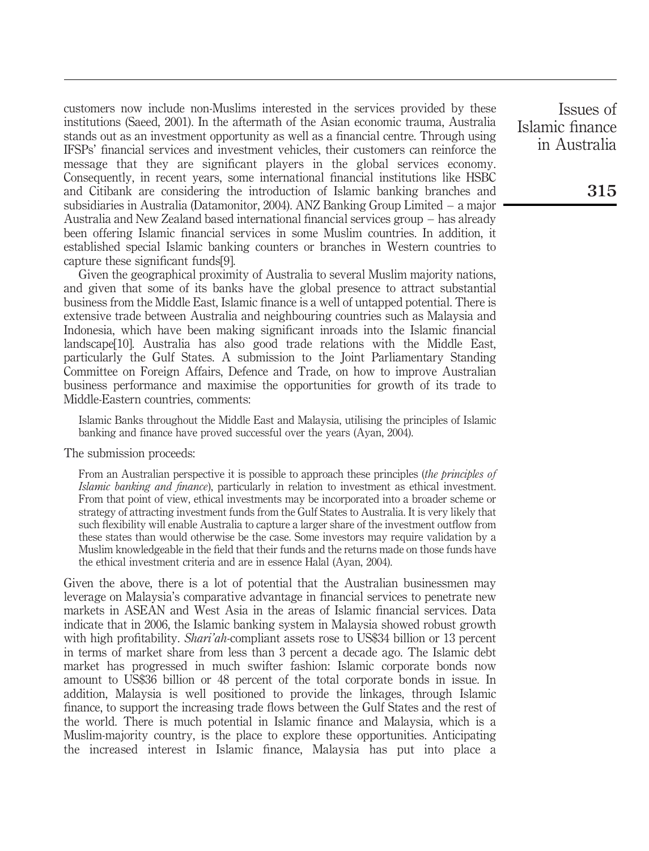customers now include non-Muslims interested in the services provided by these institutions (Saeed, 2001). In the aftermath of the Asian economic trauma, Australia stands out as an investment opportunity as well as a financial centre. Through using IFSPs' financial services and investment vehicles, their customers can reinforce the message that they are significant players in the global services economy. Consequently, in recent years, some international financial institutions like HSBC and Citibank are considering the introduction of Islamic banking branches and subsidiaries in Australia (Datamonitor, 2004). ANZ Banking Group Limited – a major Australia and New Zealand based international financial services group – has already been offering Islamic financial services in some Muslim countries. In addition, it established special Islamic banking counters or branches in Western countries to capture these significant funds[9].

Given the geographical proximity of Australia to several Muslim majority nations, and given that some of its banks have the global presence to attract substantial business from the Middle East, Islamic finance is a well of untapped potential. There is extensive trade between Australia and neighbouring countries such as Malaysia and Indonesia, which have been making significant inroads into the Islamic financial landscape[10]. Australia has also good trade relations with the Middle East, particularly the Gulf States. A submission to the Joint Parliamentary Standing Committee on Foreign Affairs, Defence and Trade, on how to improve Australian business performance and maximise the opportunities for growth of its trade to Middle-Eastern countries, comments:

Islamic Banks throughout the Middle East and Malaysia, utilising the principles of Islamic banking and finance have proved successful over the years (Ayan, 2004).

The submission proceeds:

From an Australian perspective it is possible to approach these principles *(the principles of* Islamic banking and finance), particularly in relation to investment as ethical investment. From that point of view, ethical investments may be incorporated into a broader scheme or strategy of attracting investment funds from the Gulf States to Australia. It is very likely that such flexibility will enable Australia to capture a larger share of the investment outflow from these states than would otherwise be the case. Some investors may require validation by a Muslim knowledgeable in the field that their funds and the returns made on those funds have the ethical investment criteria and are in essence Halal (Ayan, 2004).

Given the above, there is a lot of potential that the Australian businessmen may leverage on Malaysia's comparative advantage in financial services to penetrate new markets in ASEAN and West Asia in the areas of Islamic financial services. Data indicate that in 2006, the Islamic banking system in Malaysia showed robust growth with high profitability. *Shari'ah*-compliant assets rose to US\$34 billion or 13 percent in terms of market share from less than 3 percent a decade ago. The Islamic debt market has progressed in much swifter fashion: Islamic corporate bonds now amount to US\$36 billion or 48 percent of the total corporate bonds in issue. In addition, Malaysia is well positioned to provide the linkages, through Islamic finance, to support the increasing trade flows between the Gulf States and the rest of the world. There is much potential in Islamic finance and Malaysia, which is a Muslim-majority country, is the place to explore these opportunities. Anticipating the increased interest in Islamic finance, Malaysia has put into place a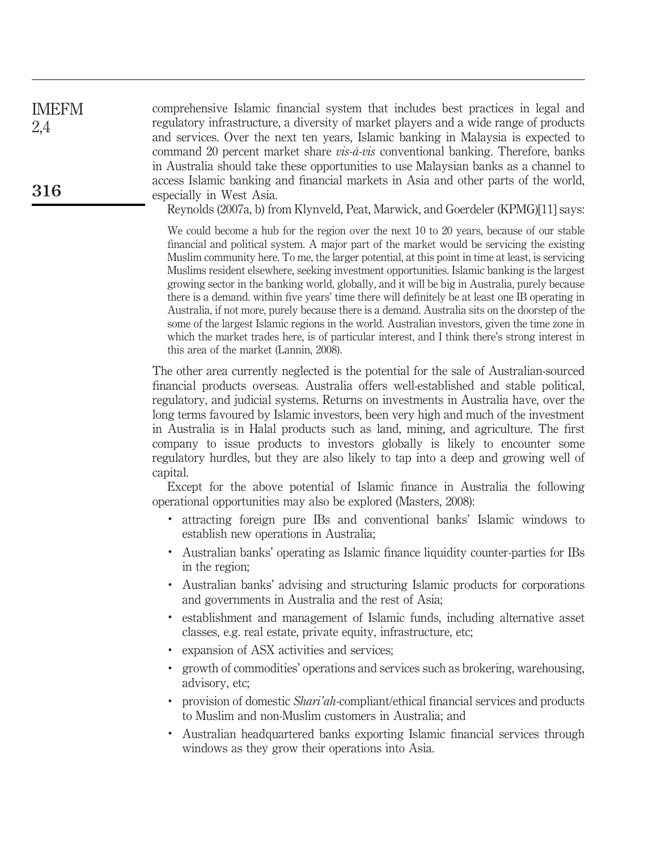comprehensive Islamic financial system that includes best practices in legal and regulatory infrastructure, a diversity of market players and a wide range of products and services. Over the next ten years, Islamic banking in Malaysia is expected to command 20 percent market share  $vis\text{-}a\text{-}vis$  conventional banking. Therefore, banks in Australia should take these opportunities to use Malaysian banks as a channel to access Islamic banking and financial markets in Asia and other parts of the world, especially in West Asia. Reynolds (2007a, b) from Klynveld, Peat, Marwick, and Goerdeler (KPMG)[11] says: We could become a hub for the region over the next 10 to 20 years, because of our stable IMEFM 2,4 316

financial and political system. A major part of the market would be servicing the existing Muslim community here. To me, the larger potential, at this point in time at least, is servicing Muslims resident elsewhere, seeking investment opportunities. Islamic banking is the largest growing sector in the banking world, globally, and it will be big in Australia, purely because there is a demand. within five years' time there will definitely be at least one IB operating in Australia, if not more, purely because there is a demand. Australia sits on the doorstep of the some of the largest Islamic regions in the world. Australian investors, given the time zone in which the market trades here, is of particular interest, and I think there's strong interest in this area of the market (Lannin, 2008).

The other area currently neglected is the potential for the sale of Australian-sourced financial products overseas. Australia offers well-established and stable political, regulatory, and judicial systems. Returns on investments in Australia have, over the long terms favoured by Islamic investors, been very high and much of the investment in Australia is in Halal products such as land, mining, and agriculture. The first company to issue products to investors globally is likely to encounter some regulatory hurdles, but they are also likely to tap into a deep and growing well of capital.

Except for the above potential of Islamic finance in Australia the following operational opportunities may also be explored (Masters, 2008):

- . attracting foreign pure IBs and conventional banks' Islamic windows to establish new operations in Australia;
- . Australian banks' operating as Islamic finance liquidity counter-parties for IBs in the region;
- . Australian banks' advising and structuring Islamic products for corporations and governments in Australia and the rest of Asia;
- . establishment and management of Islamic funds, including alternative asset classes, e.g. real estate, private equity, infrastructure, etc;
- . expansion of ASX activities and services;
- . growth of commodities' operations and services such as brokering, warehousing, advisory, etc;
- . provision of domestic Shari'ah-compliant/ethical financial services and products to Muslim and non-Muslim customers in Australia; and
- . Australian headquartered banks exporting Islamic financial services through windows as they grow their operations into Asia.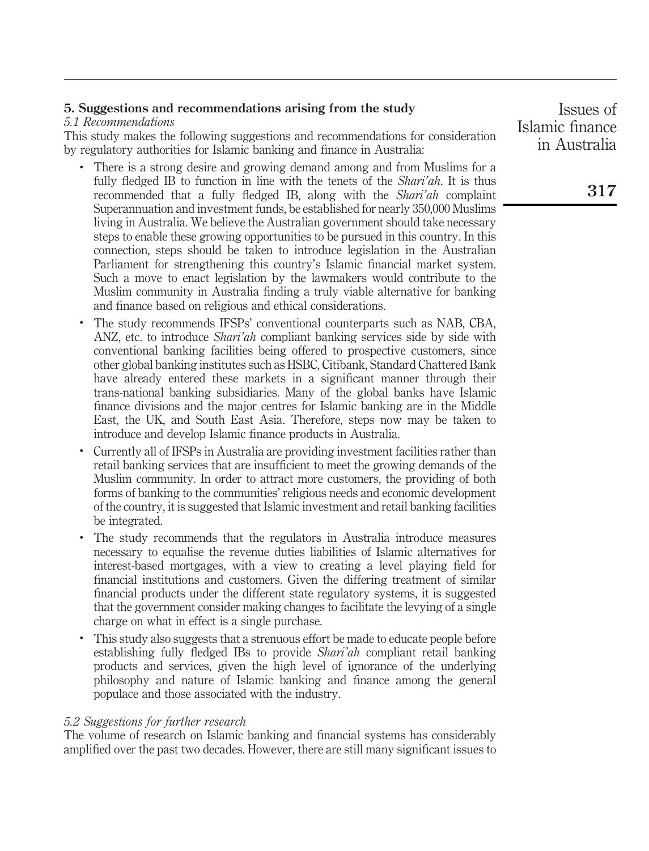# 5. Suggestions and recommendations arising from the study

5.1 Recommendations

This study makes the following suggestions and recommendations for consideration by regulatory authorities for Islamic banking and finance in Australia:

- . There is a strong desire and growing demand among and from Muslims for a fully fledged IB to function in line with the tenets of the Shari'ah. It is thus recommended that a fully fledged IB, along with the Shari'ah complaint Superannuation and investment funds, be established for nearly 350,000 Muslims living in Australia. We believe the Australian government should take necessary steps to enable these growing opportunities to be pursued in this country. In this connection, steps should be taken to introduce legislation in the Australian Parliament for strengthening this country's Islamic financial market system. Such a move to enact legislation by the lawmakers would contribute to the Muslim community in Australia finding a truly viable alternative for banking and finance based on religious and ethical considerations.
- . The study recommends IFSPs' conventional counterparts such as NAB, CBA, ANZ, etc. to introduce *Shari'ah* compliant banking services side by side with conventional banking facilities being offered to prospective customers, since other global banking institutes such as HSBC, Citibank, Standard Chattered Bank have already entered these markets in a significant manner through their trans-national banking subsidiaries. Many of the global banks have Islamic finance divisions and the major centres for Islamic banking are in the Middle East, the UK, and South East Asia. Therefore, steps now may be taken to introduce and develop Islamic finance products in Australia.
- . Currently all of IFSPs in Australia are providing investment facilities rather than retail banking services that are insufficient to meet the growing demands of the Muslim community. In order to attract more customers, the providing of both forms of banking to the communities' religious needs and economic development of the country, it is suggested that Islamic investment and retail banking facilities be integrated.
- . The study recommends that the regulators in Australia introduce measures necessary to equalise the revenue duties liabilities of Islamic alternatives for interest-based mortgages, with a view to creating a level playing field for financial institutions and customers. Given the differing treatment of similar financial products under the different state regulatory systems, it is suggested that the government consider making changes to facilitate the levying of a single charge on what in effect is a single purchase.
- . This study also suggests that a strenuous effort be made to educate people before establishing fully fledged IBs to provide Shari'ah compliant retail banking products and services, given the high level of ignorance of the underlying philosophy and nature of Islamic banking and finance among the general populace and those associated with the industry.

## 5.2 Suggestions for further research

The volume of research on Islamic banking and financial systems has considerably amplified over the past two decades. However, there are still many significant issues to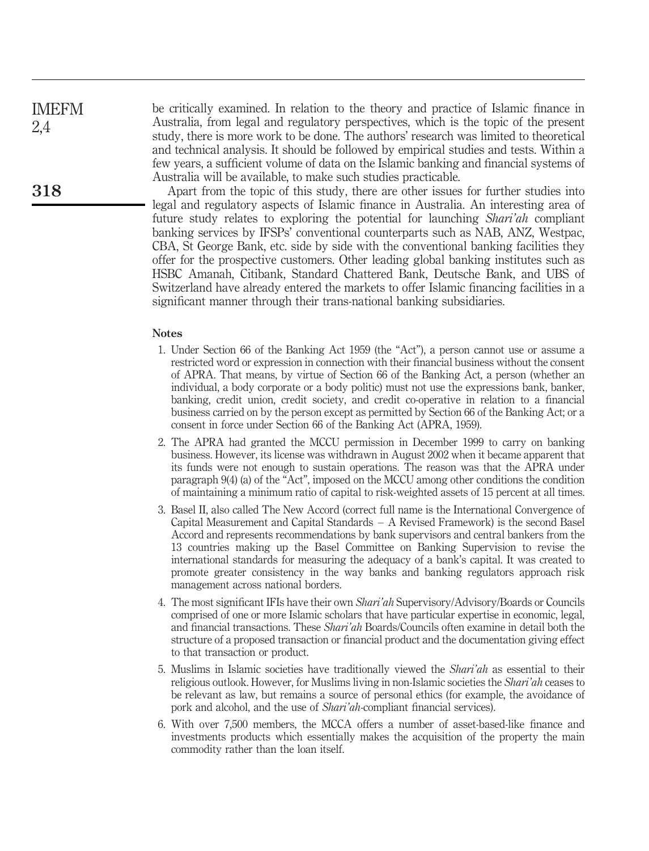| <b>IMEFM</b> | be critically examined. In relation to the theory and practice of Islamic finance in   |
|--------------|----------------------------------------------------------------------------------------|
| 2,4          | Australia, from legal and regulatory perspectives, which is the topic of the present   |
|              | study, there is more work to be done. The authors' research was limited to theoretical |
|              | and technical analysis. It should be followed by empirical studies and tests. Within a |
|              | few years, a sufficient volume of data on the Islamic banking and financial systems of |
|              | Australia will be available, to make such studies practicable.                         |
| 318          | Apart from the topic of this study, there are other issues for further studies into    |

Apart from the topic of this study, there are other issues for further studies into legal and regulatory aspects of Islamic finance in Australia. An interesting area of future study relates to exploring the potential for launching Shari'ah compliant banking services by IFSPs' conventional counterparts such as NAB, ANZ, Westpac, CBA, St George Bank, etc. side by side with the conventional banking facilities they offer for the prospective customers. Other leading global banking institutes such as HSBC Amanah, Citibank, Standard Chattered Bank, Deutsche Bank, and UBS of Switzerland have already entered the markets to offer Islamic financing facilities in a significant manner through their trans-national banking subsidiaries.

#### **Notes**

- 1. Under Section 66 of the Banking Act 1959 (the "Act"), a person cannot use or assume a restricted word or expression in connection with their financial business without the consent of APRA. That means, by virtue of Section 66 of the Banking Act, a person (whether an individual, a body corporate or a body politic) must not use the expressions bank, banker, banking, credit union, credit society, and credit co-operative in relation to a financial business carried on by the person except as permitted by Section 66 of the Banking Act; or a consent in force under Section 66 of the Banking Act (APRA, 1959).
- 2. The APRA had granted the MCCU permission in December 1999 to carry on banking business. However, its license was withdrawn in August 2002 when it became apparent that its funds were not enough to sustain operations. The reason was that the APRA under paragraph 9(4) (a) of the "Act", imposed on the MCCU among other conditions the condition of maintaining a minimum ratio of capital to risk-weighted assets of 15 percent at all times.
- 3. Basel II, also called The New Accord (correct full name is the International Convergence of Capital Measurement and Capital Standards – A Revised Framework) is the second Basel Accord and represents recommendations by bank supervisors and central bankers from the 13 countries making up the Basel Committee on Banking Supervision to revise the international standards for measuring the adequacy of a bank's capital. It was created to promote greater consistency in the way banks and banking regulators approach risk management across national borders.
- 4. The most significant IFIs have their own Shari'ah Supervisory/Advisory/Boards or Councils comprised of one or more Islamic scholars that have particular expertise in economic, legal, and financial transactions. These Shari'ah Boards/Councils often examine in detail both the structure of a proposed transaction or financial product and the documentation giving effect to that transaction or product.
- 5. Muslims in Islamic societies have traditionally viewed the Shari'ah as essential to their religious outlook. However, for Muslims living in non-Islamic societies the Shari'ah ceases to be relevant as law, but remains a source of personal ethics (for example, the avoidance of pork and alcohol, and the use of Shari'ah-compliant financial services).
- 6. With over 7,500 members, the MCCA offers a number of asset-based-like finance and investments products which essentially makes the acquisition of the property the main commodity rather than the loan itself.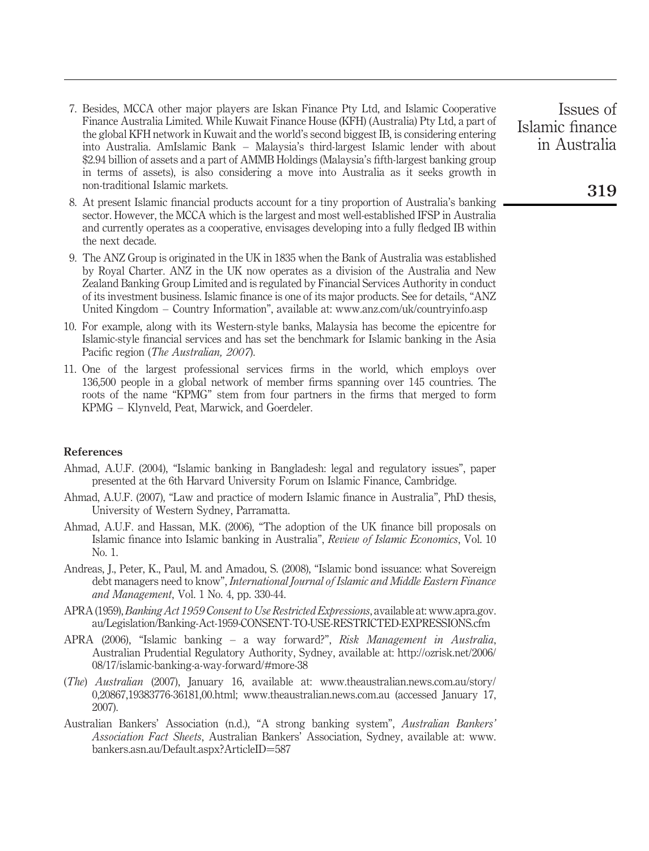- 7. Besides, MCCA other major players are Iskan Finance Pty Ltd, and Islamic Cooperative Finance Australia Limited. While Kuwait Finance House (KFH) (Australia) Pty Ltd, a part of the global KFH network in Kuwait and the world's second biggest IB, is considering entering into Australia. AmIslamic Bank – Malaysia's third-largest Islamic lender with about \$2.94 billion of assets and a part of AMMB Holdings (Malaysia's fifth-largest banking group in terms of assets), is also considering a move into Australia as it seeks growth in non-traditional Islamic markets.
- 8. At present Islamic financial products account for a tiny proportion of Australia's banking sector. However, the MCCA which is the largest and most well-established IFSP in Australia and currently operates as a cooperative, envisages developing into a fully fledged IB within the next decade.
- 9. The ANZ Group is originated in the UK in 1835 when the Bank of Australia was established by Royal Charter. ANZ in the UK now operates as a division of the Australia and New Zealand Banking Group Limited and is regulated by Financial Services Authority in conduct of its investment business. Islamic finance is one of its major products. See for details, "ANZ United Kingdom – Country Information", available at: www.anz.com/uk/countryinfo.asp
- 10. For example, along with its Western-style banks, Malaysia has become the epicentre for Islamic-style financial services and has set the benchmark for Islamic banking in the Asia Pacific region (The Australian, 2007).
- 11. One of the largest professional services firms in the world, which employs over 136,500 people in a global network of member firms spanning over 145 countries. The roots of the name "KPMG" stem from four partners in the firms that merged to form KPMG – Klynveld, Peat, Marwick, and Goerdeler.

#### References

- Ahmad, A.U.F. (2004), "Islamic banking in Bangladesh: legal and regulatory issues", paper presented at the 6th Harvard University Forum on Islamic Finance, Cambridge.
- Ahmad, A.U.F. (2007), "Law and practice of modern Islamic finance in Australia", PhD thesis, University of Western Sydney, Parramatta.
- Ahmad, A.U.F. and Hassan, M.K. (2006), "The adoption of the UK finance bill proposals on Islamic finance into Islamic banking in Australia", Review of Islamic Economics, Vol. 10 No. 1.
- Andreas, J., Peter, K., Paul, M. and Amadou, S. (2008), "Islamic bond issuance: what Sovereign debt managers need to know", *International Journal of Islamic and Middle Eastern Finance* and Management, Vol. 1 No. 4, pp. 330-44.
- APRA (1959), Banking Act 1959 Consent to Use Restricted Expressions, available at: www.apra.gov. au/Legislation/Banking-Act-1959-CONSENT-TO-USE-RESTRICTED-EXPRESSIONS.cfm
- APRA (2006), "Islamic banking a way forward?", Risk Management in Australia, Australian Prudential Regulatory Authority, Sydney, available at: http://ozrisk.net/2006/ 08/17/islamic-banking-a-way-forward/#more-38
- (The) Australian (2007), January 16, available at: www.theaustralian.news.com.au/story/ 0,20867,19383776-36181,00.html; www.theaustralian.news.com.au (accessed January 17, 2007).
- Australian Bankers' Association (n.d.), "A strong banking system", Australian Bankers' Association Fact Sheets, Australian Bankers' Association, Sydney, available at: www. bankers.asn.au/Default.aspx?ArticleID=587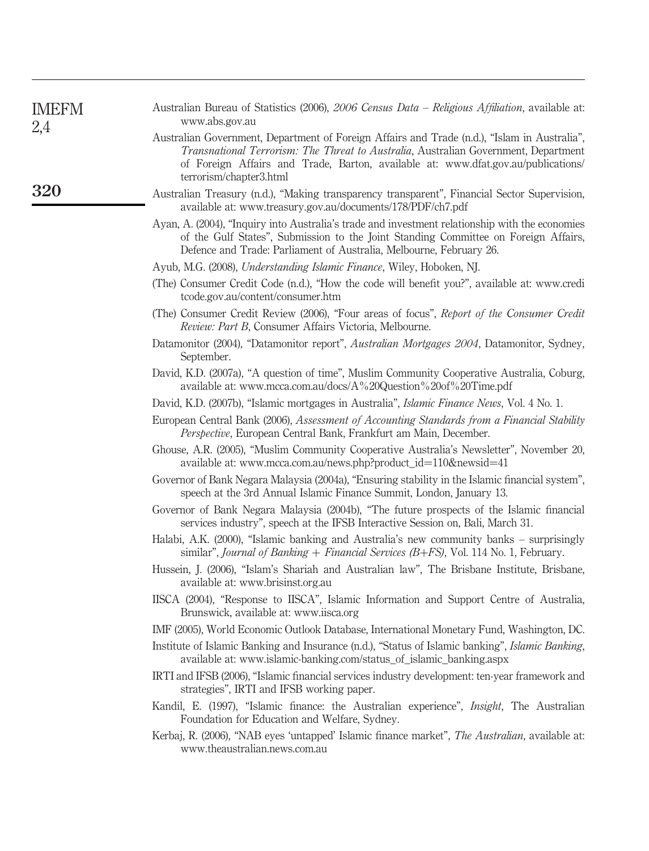| <b>IMEFM</b><br>2,4 | Australian Bureau of Statistics (2006), 2006 Census Data - Religious Affiliation, available at:<br>www.abs.gov.au                                                                                                                                                                                   |
|---------------------|-----------------------------------------------------------------------------------------------------------------------------------------------------------------------------------------------------------------------------------------------------------------------------------------------------|
|                     | Australian Government, Department of Foreign Affairs and Trade (n.d.), "Islam in Australia",<br>Transnational Terrorism: The Threat to Australia, Australian Government, Department<br>of Foreign Affairs and Trade, Barton, available at: www.dfat.gov.au/publications/<br>terrorism/chapter3.html |
| 320                 | Australian Treasury (n.d.), "Making transparency transparent", Financial Sector Supervision,<br>available at: www.treasury.gov.au/documents/178/PDF/ch7.pdf                                                                                                                                         |
|                     | Ayan, A. (2004), "Inquiry into Australia's trade and investment relationship with the economies<br>of the Gulf States", Submission to the Joint Standing Committee on Foreign Affairs,<br>Defence and Trade: Parliament of Australia, Melbourne, February 26.                                       |
|                     | Ayub, M.G. (2008), Understanding Islamic Finance, Wiley, Hoboken, NJ.                                                                                                                                                                                                                               |
|                     | (The) Consumer Credit Code (n.d.), "How the code will benefit you?", available at: www.credi<br>tcode.gov.au/content/consumer.htm                                                                                                                                                                   |
|                     | (The) Consumer Credit Review (2006), "Four areas of focus", Report of the Consumer Credit<br><i>Review: Part B, Consumer Affairs Victoria, Melbourne.</i>                                                                                                                                           |
|                     | Datamonitor (2004), "Datamonitor report", Australian Mortgages 2004, Datamonitor, Sydney,<br>September.                                                                                                                                                                                             |
|                     | David, K.D. (2007a), "A question of time", Muslim Community Cooperative Australia, Coburg,<br>available at: www.mcca.com.au/docs/A%20Question%20of%20Time.pdf                                                                                                                                       |
|                     | David, K.D. (2007b), "Islamic mortgages in Australia", <i>Islamic Finance News</i> , Vol. 4 No. 1.                                                                                                                                                                                                  |
|                     | European Central Bank (2006), Assessment of Accounting Standards from a Financial Stability<br><i>Perspective</i> , European Central Bank, Frankfurt am Main, December.                                                                                                                             |
|                     | Ghouse, A.R. (2005), "Muslim Community Cooperative Australia's Newsletter", November 20,<br>available at: www.mcca.com.au/news.php?product_id=110&newsid=41                                                                                                                                         |
|                     | Governor of Bank Negara Malaysia (2004a), "Ensuring stability in the Islamic financial system",<br>speech at the 3rd Annual Islamic Finance Summit, London, January 13.                                                                                                                             |
|                     | Governor of Bank Negara Malaysia (2004b), "The future prospects of the Islamic financial<br>services industry", speech at the IFSB Interactive Session on, Bali, March 31.                                                                                                                          |
|                     | Halabi, A.K. (2000), "Islamic banking and Australia's new community banks – surprisingly<br>similar", Journal of Banking + Financial Services ( $B$ +FS), Vol. 114 No. 1, February.                                                                                                                 |
|                     | Hussein, J. (2006), "Islam's Shariah and Australian law", The Brisbane Institute, Brisbane,<br>available at: www.brisinst.org.au                                                                                                                                                                    |
|                     | IISCA (2004), "Response to IISCA", Islamic Information and Support Centre of Australia,<br>Brunswick, available at: www.iisca.org                                                                                                                                                                   |
|                     | IMF (2005), World Economic Outlook Database, International Monetary Fund, Washington, DC.                                                                                                                                                                                                           |
|                     | Institute of Islamic Banking and Insurance (n.d.), "Status of Islamic banking", Islamic Banking,<br>available at: www.islamic-banking.com/status_of_islamic_banking.aspx                                                                                                                            |
|                     | IRTI and IFSB (2006), "Islamic financial services industry development: ten-year framework and<br>strategies", IRTI and IFSB working paper.                                                                                                                                                         |
|                     | Kandil, E. (1997), "Islamic finance: the Australian experience", Insight, The Australian<br>Foundation for Education and Welfare, Sydney.                                                                                                                                                           |
|                     | Kerbaj, R. (2006), "NAB eyes 'untapped' Islamic finance market", <i>The Australian</i> , available at:<br>www.theaustralian.news.com.au                                                                                                                                                             |
|                     |                                                                                                                                                                                                                                                                                                     |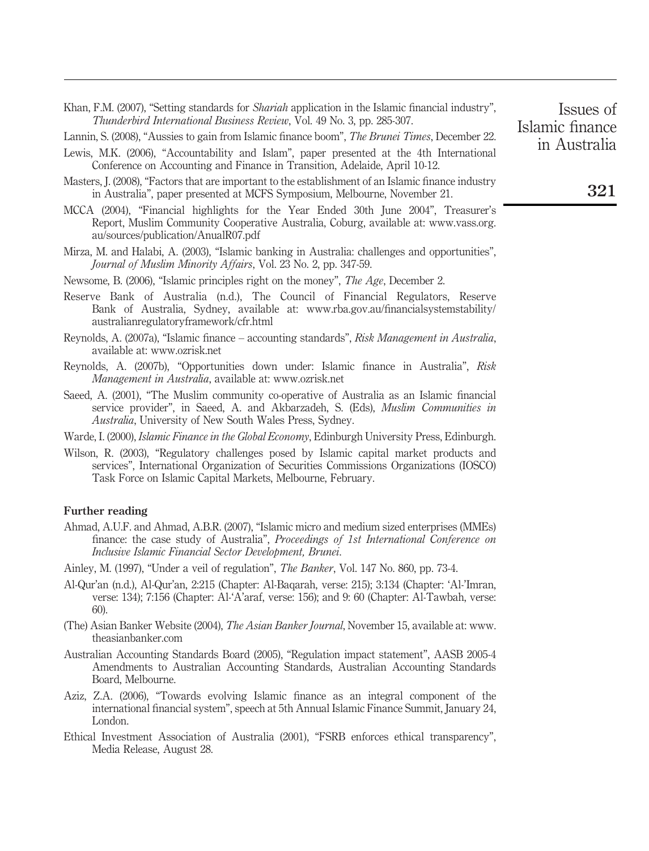|  |  |  |                                                                               |  |  | Khan, F.M. (2007), "Setting standards for <i>Shariah</i> application in the Islamic financial industry", |  |
|--|--|--|-------------------------------------------------------------------------------|--|--|----------------------------------------------------------------------------------------------------------|--|
|  |  |  | <i>Thunderbird International Business Review, Vol. 49 No. 3, pp. 285-307.</i> |  |  |                                                                                                          |  |

Lannin, S. (2008), "Aussies to gain from Islamic finance boom", The Brunei Times, December 22.

- Lewis, M.K. (2006), "Accountability and Islam", paper presented at the 4th International Conference on Accounting and Finance in Transition, Adelaide, April 10-12.
- Masters, J. (2008), "Factors that are important to the establishment of an Islamic finance industry in Australia", paper presented at MCFS Symposium, Melbourne, November 21.
- MCCA (2004), "Financial highlights for the Year Ended 30th June 2004", Treasurer's Report, Muslim Community Cooperative Australia, Coburg, available at: www.vass.org. au/sources/publication/AnualR07.pdf
- Mirza, M. and Halabi, A. (2003), "Islamic banking in Australia: challenges and opportunities", Journal of Muslim Minority Affairs, Vol. 23 No. 2, pp. 347-59.
- Newsome, B. (2006), "Islamic principles right on the money", The Age, December 2.
- Reserve Bank of Australia (n.d.), The Council of Financial Regulators, Reserve Bank of Australia, Sydney, available at: www.rba.gov.au/financialsystemstability/ australianregulatoryframework/cfr.html
- Reynolds, A. (2007a), "Islamic finance accounting standards", Risk Management in Australia, available at: www.ozrisk.net
- Reynolds, A. (2007b), "Opportunities down under: Islamic finance in Australia", Risk Management in Australia, available at: www.ozrisk.net
- Saeed, A. (2001), "The Muslim community co-operative of Australia as an Islamic financial service provider", in Saeed, A. and Akbarzadeh, S. (Eds), *Muslim Communities in* Australia, University of New South Wales Press, Sydney.
- Warde, I. (2000), Islamic Finance in the Global Economy, Edinburgh University Press, Edinburgh.
- Wilson, R. (2003), "Regulatory challenges posed by Islamic capital market products and services", International Organization of Securities Commissions Organizations (IOSCO) Task Force on Islamic Capital Markets, Melbourne, February.

#### Further reading

- Ahmad, A.U.F. and Ahmad, A.B.R. (2007), "Islamic micro and medium sized enterprises (MMEs) finance: the case study of Australia", Proceedings of 1st International Conference on Inclusive Islamic Financial Sector Development, Brunei.
- Ainley, M. (1997), "Under a veil of regulation", The Banker, Vol. 147 No. 860, pp. 73-4.
- Al-Qur'an (n.d.), Al-Qur'an, 2:215 (Chapter: Al-Baqarah, verse: 215); 3:134 (Chapter: 'Al-'Imran, verse: 134); 7:156 (Chapter: Al-'A'araf, verse: 156); and 9: 60 (Chapter: Al-Tawbah, verse: 60).
- (The) Asian Banker Website (2004), The Asian Banker Journal, November 15, available at: www. theasianbanker.com
- Australian Accounting Standards Board (2005), "Regulation impact statement", AASB 2005-4 Amendments to Australian Accounting Standards, Australian Accounting Standards Board, Melbourne.
- Aziz, Z.A. (2006), "Towards evolving Islamic finance as an integral component of the international financial system", speech at 5th Annual Islamic Finance Summit, January 24, London.
- Ethical Investment Association of Australia (2001), "FSRB enforces ethical transparency", Media Release, August 28.